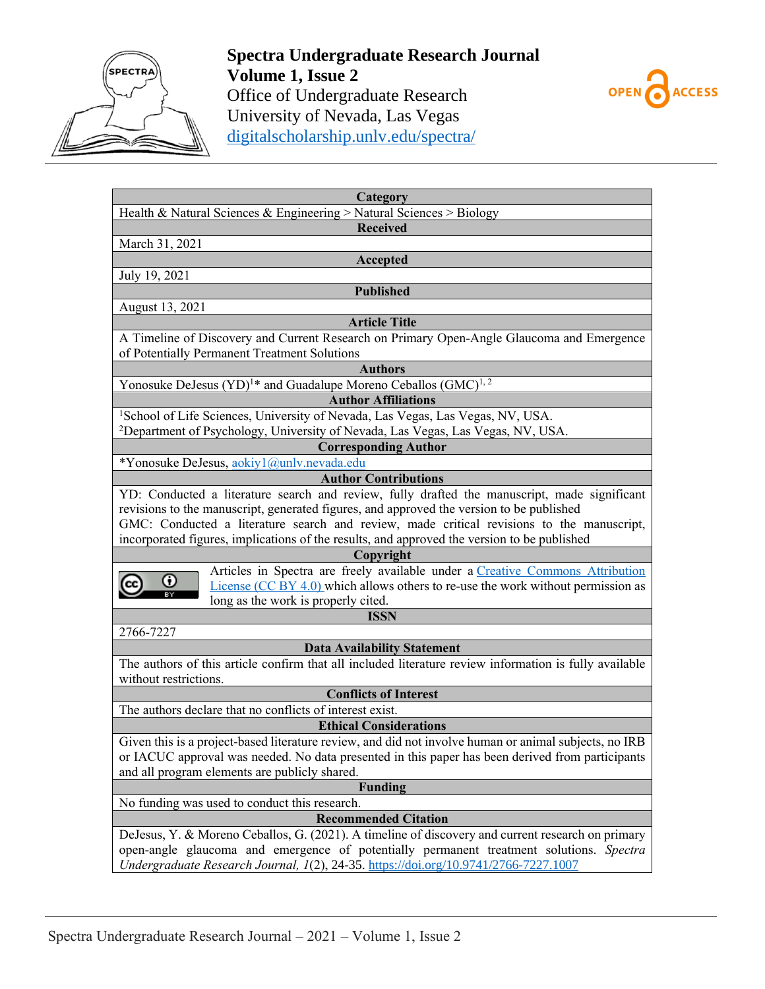

**Spectra Undergraduate Research Journal Volume 1, Issue 2** Office of Undergraduate Research University of Nevada, Las Vegas [digitalscholarship.unlv.edu/spectra/](http://digitalscholarship.unlv.edu/spectra/)



| Category                                                                                               |
|--------------------------------------------------------------------------------------------------------|
| Health & Natural Sciences & Engineering > Natural Sciences > Biology                                   |
| <b>Received</b>                                                                                        |
| March 31, 2021                                                                                         |
| Accepted                                                                                               |
| July 19, 2021                                                                                          |
| <b>Published</b>                                                                                       |
| August 13, 2021                                                                                        |
| <b>Article Title</b>                                                                                   |
| A Timeline of Discovery and Current Research on Primary Open-Angle Glaucoma and Emergence              |
| of Potentially Permanent Treatment Solutions                                                           |
| <b>Authors</b>                                                                                         |
| Yonosuke DeJesus (YD) <sup>1*</sup> and Guadalupe Moreno Ceballos (GMC) <sup>1, 2</sup>                |
| <b>Author Affiliations</b>                                                                             |
| <sup>1</sup> School of Life Sciences, University of Nevada, Las Vegas, Las Vegas, NV, USA.             |
| <sup>2</sup> Department of Psychology, University of Nevada, Las Vegas, Las Vegas, NV, USA.            |
| <b>Corresponding Author</b>                                                                            |
| *Yonosuke DeJesus, aokiyl@unlv.nevada.edu                                                              |
| <b>Author Contributions</b>                                                                            |
| YD: Conducted a literature search and review, fully drafted the manuscript, made significant           |
| revisions to the manuscript, generated figures, and approved the version to be published               |
| GMC: Conducted a literature search and review, made critical revisions to the manuscript,              |
| incorporated figures, implications of the results, and approved the version to be published            |
| Copyright<br>Articles in Spectra are freely available under a Creative Commons Attribution             |
| Ο<br>License $(CC BY 4.0)$ which allows others to re-use the work without permission as                |
| long as the work is properly cited.                                                                    |
| <b>ISSN</b>                                                                                            |
| 2766-7227                                                                                              |
| <b>Data Availability Statement</b>                                                                     |
| The authors of this article confirm that all included literature review information is fully available |
| without restrictions.                                                                                  |
| <b>Conflicts of Interest</b>                                                                           |
| The authors declare that no conflicts of interest exist.                                               |
| <b>Ethical Considerations</b>                                                                          |
| Given this is a project-based literature review, and did not involve human or animal subjects, no IRB  |
| or IACUC approval was needed. No data presented in this paper has been derived from participants       |
| and all program elements are publicly shared.                                                          |
| <b>Funding</b>                                                                                         |
| No funding was used to conduct this research.                                                          |
| <b>Recommended Citation</b>                                                                            |
| DeJesus, Y. & Moreno Ceballos, G. (2021). A timeline of discovery and current research on primary      |
| open-angle glaucoma and emergence of potentially permanent treatment solutions. Spectra                |
| Undergraduate Research Journal, 1(2), 24-35. https://doi.org/10.9741/2766-7227.1007                    |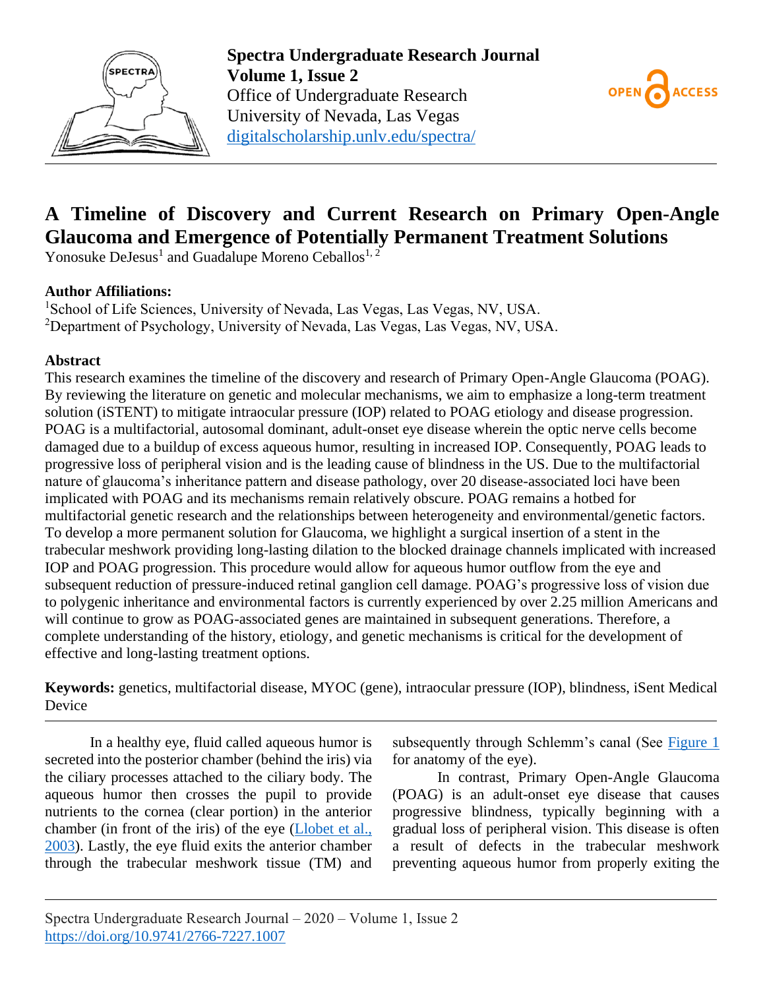



# **A Timeline of Discovery and Current Research on Primary Open-Angle Glaucoma and Emergence of Potentially Permanent Treatment Solutions**

Yonosuke DeJesus<sup>1</sup> and Guadalupe Moreno Ceballos<sup>1, 2</sup>

# **Author Affiliations:**

<sup>1</sup>School of Life Sciences, University of Nevada, Las Vegas, Las Vegas, NV, USA. <sup>2</sup>Department of Psychology, University of Nevada, Las Vegas, Las Vegas, NV, USA.

# **Abstract**

This research examines the timeline of the discovery and research of Primary Open-Angle Glaucoma (POAG). By reviewing the literature on genetic and molecular mechanisms, we aim to emphasize a long-term treatment solution (iSTENT) to mitigate intraocular pressure (IOP) related to POAG etiology and disease progression. POAG is a multifactorial, autosomal dominant, adult-onset eye disease wherein the optic nerve cells become damaged due to a buildup of excess aqueous humor, resulting in increased IOP. Consequently, POAG leads to progressive loss of peripheral vision and is the leading cause of blindness in the US. Due to the multifactorial nature of glaucoma's inheritance pattern and disease pathology, over 20 disease-associated loci have been implicated with POAG and its mechanisms remain relatively obscure. POAG remains a hotbed for multifactorial genetic research and the relationships between heterogeneity and environmental/genetic factors. To develop a more permanent solution for Glaucoma, we highlight a surgical insertion of a stent in the trabecular meshwork providing long-lasting dilation to the blocked drainage channels implicated with increased IOP and POAG progression. This procedure would allow for aqueous humor outflow from the eye and subsequent reduction of pressure-induced retinal ganglion cell damage. POAG's progressive loss of vision due to polygenic inheritance and environmental factors is currently experienced by over 2.25 million Americans and will continue to grow as POAG-associated genes are maintained in subsequent generations. Therefore, a complete understanding of the history, etiology, and genetic mechanisms is critical for the development of effective and long-lasting treatment options.

**Keywords:** genetics, multifactorial disease, MYOC (gene), intraocular pressure (IOP), blindness, iSent Medical Device

In a healthy eye, fluid called aqueous humor is secreted into the posterior chamber (behind the iris) via the ciliary processes attached to the ciliary body. The aqueous humor then crosses the pupil to provide nutrients to the cornea (clear portion) in the anterior chamber (in front of the iris) of the eye [\(Llobet et al.,](#page-5-0)  [2003\)](#page-5-0). Lastly, the eye fluid exits the anterior chamber through the trabecular meshwork tissue (TM) and subsequently through Schlemm's canal (See Figure 1 for anatomy of the eye).

In contrast, Primary Open-Angle Glaucoma (POAG) is an adult-onset eye disease that causes progressive blindness, typically beginning with a gradual loss of peripheral vision. This disease is often a result of defects in the trabecular meshwork preventing aqueous humor from properly exiting the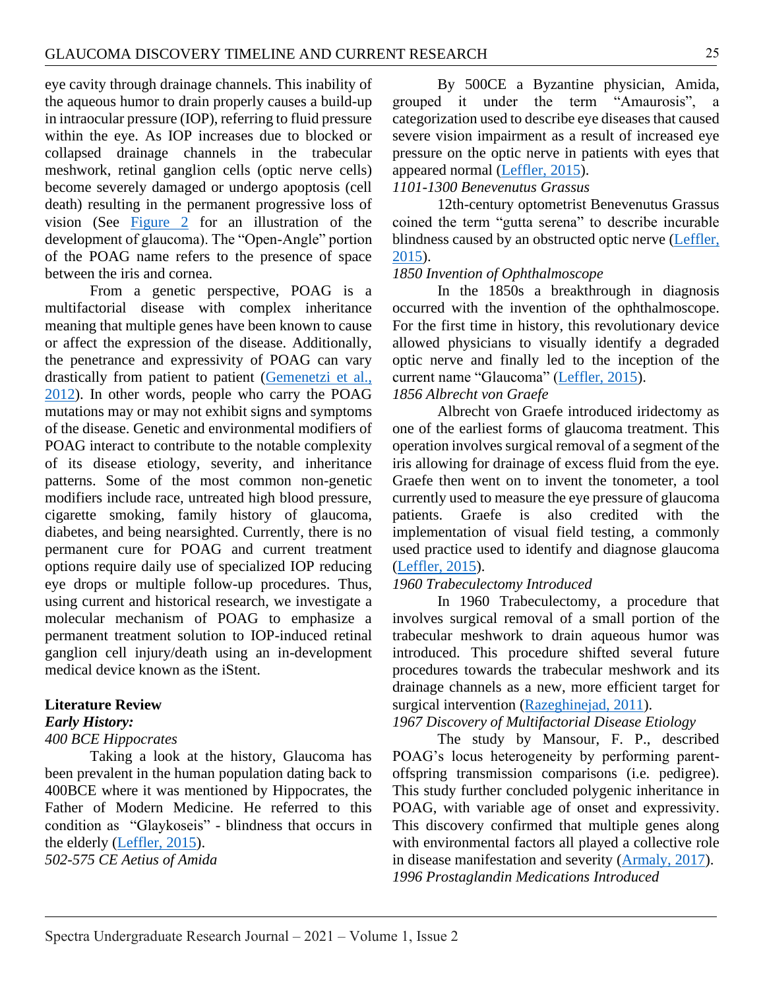eye cavity through drainage channels. This inability of the aqueous humor to drain properly causes a build-up in intraocular pressure (IOP), referring to fluid pressure within the eye. As IOP increases due to blocked or collapsed drainage channels in the trabecular meshwork, retinal ganglion cells (optic nerve cells) become severely damaged or undergo apoptosis (cell death) resulting in the permanent progressive loss of vision (See Figure 2 for an illustration of the development of glaucoma). The "Open-Angle" portion of the POAG name refers to the presence of space between the iris and cornea.

From a genetic perspective, POAG is a multifactorial disease with complex inheritance meaning that multiple genes have been known to cause or affect the expression of the disease. Additionally, the penetrance and expressivity of POAG can vary drastically from patient to patient [\(Gemenetzi et al.,](#page-5-1)  [2012\)](#page-5-1). In other words, people who carry the POAG mutations may or may not exhibit signs and symptoms of the disease. Genetic and environmental modifiers of POAG interact to contribute to the notable complexity of its disease etiology, severity, and inheritance patterns. Some of the most common non-genetic modifiers include race, untreated high blood pressure, cigarette smoking, family history of glaucoma, diabetes, and being nearsighted. Currently, there is no permanent cure for POAG and current treatment options require daily use of specialized IOP reducing eye drops or multiple follow-up procedures. Thus, using current and historical research, we investigate a molecular mechanism of POAG to emphasize a permanent treatment solution to IOP-induced retinal ganglion cell injury/death using an in-development medical device known as the iStent.

#### **Literature Review**

#### *Early History:*

#### *400 BCE Hippocrates*

Taking a look at the history, Glaucoma has been prevalent in the human population dating back to 400BCE where it was mentioned by Hippocrates, the Father of Modern Medicine. He referred to this condition as "Glaykoseis" - blindness that occurs in the elderly [\(Leffler, 2015\)](#page-5-2).

*502-575 CE Aetius of Amida*

By 500CE a Byzantine physician, Amida, grouped it under the term "Amaurosis", a categorization used to describe eye diseases that caused severe vision impairment as a result of increased eye pressure on the optic nerve in patients with eyes that appeared normal [\(Leffler, 2015\)](#page-5-2).

## *1101-1300 Benevenutus Grassus*

12th-century optometrist Benevenutus Grassus coined the term "gutta serena" to describe incurable blindness caused by an obstructed optic nerve [\(Leffler,](#page-5-2)  [2015\)](#page-5-2).

## *1850 Invention of Ophthalmoscope*

In the 1850s a breakthrough in diagnosis occurred with the invention of the ophthalmoscope. For the first time in history, this revolutionary device allowed physicians to visually identify a degraded optic nerve and finally led to the inception of the current name "Glaucoma" [\(Leffler, 2015\)](#page-5-2).

# *1856 Albrecht von Graefe*

Albrecht von Graefe introduced iridectomy as one of the earliest forms of glaucoma treatment. This operation involves surgical removal of a segment of the iris allowing for drainage of excess fluid from the eye. Graefe then went on to invent the tonometer, a tool currently used to measure the eye pressure of glaucoma patients. Graefe is also credited with the implementation of visual field testing, a commonly used practice used to identify and diagnose glaucoma [\(Leffler, 2015\)](#page-5-2).

## *1960 Trabeculectomy Introduced*

In 1960 Trabeculectomy, a procedure that involves surgical removal of a small portion of the trabecular meshwork to drain aqueous humor was introduced. This procedure shifted several future procedures towards the trabecular meshwork and its drainage channels as a new, more efficient target for surgical intervention [\(Razeghinejad, 2011\)](#page-5-3).

# *1967 Discovery of Multifactorial Disease Etiology*

The study by Mansour, F. P., described POAG's locus heterogeneity by performing parentoffspring transmission comparisons (i.e. pedigree). This study further concluded polygenic inheritance in POAG, with variable age of onset and expressivity. This discovery confirmed that multiple genes along with environmental factors all played a collective role in disease manifestation and severity [\(Armaly, 2017\)](#page-4-0). *1996 Prostaglandin Medications Introduced*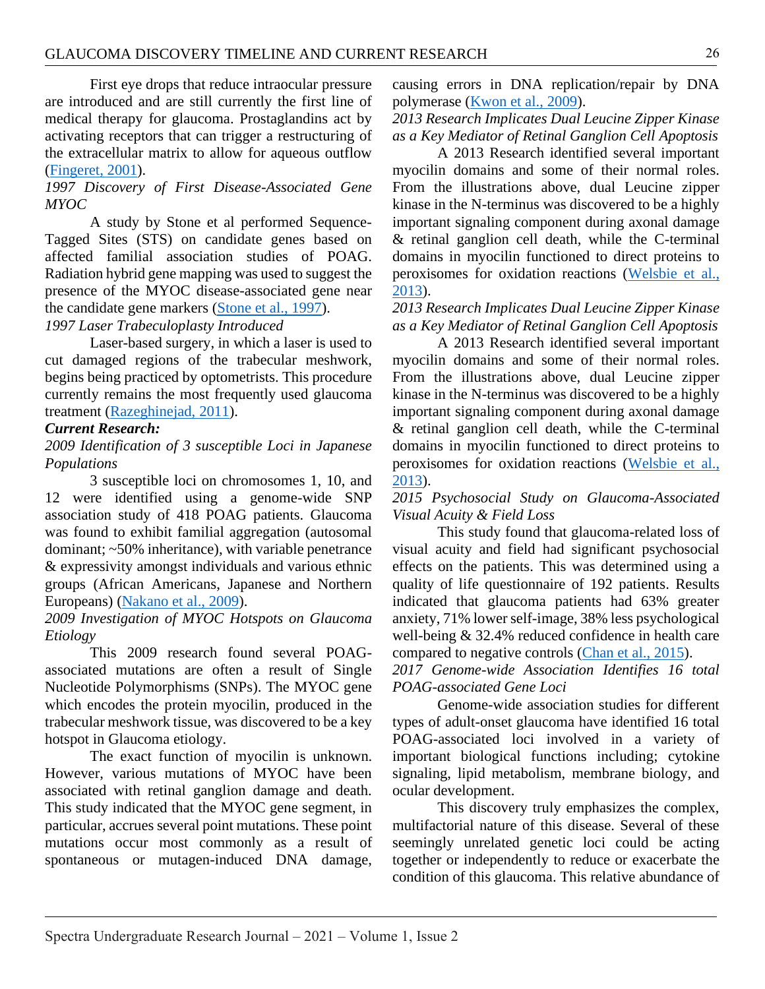First eye drops that reduce intraocular pressure are introduced and are still currently the first line of medical therapy for glaucoma. Prostaglandins act by activating receptors that can trigger a restructuring of the extracellular matrix to allow for aqueous outflow [\(Fingeret, 2001\)](#page-5-4).

## *1997 Discovery of First Disease-Associated Gene MYOC*

A study by Stone et al performed Sequence-Tagged Sites (STS) on candidate genes based on affected familial association studies of POAG. Radiation hybrid gene mapping was used to suggest the presence of the MYOC disease-associated gene near the candidate gene markers (Stone [et al., 1997\)](#page-6-0).

# *1997 Laser Trabeculoplasty Introduced*

Laser-based surgery, in which a laser is used to cut damaged regions of the trabecular meshwork, begins being practiced by optometrists. This procedure currently remains the most frequently used glaucoma treatment [\(Razeghinejad, 2011\)](#page-5-3).

## *Current Research:*

*2009 Identification of 3 susceptible Loci in Japanese Populations*

3 susceptible loci on chromosomes 1, 10, and 12 were identified using a genome-wide SNP association study of 418 POAG patients. Glaucoma was found to exhibit familial aggregation (autosomal dominant; ~50% inheritance), with variable penetrance & expressivity amongst individuals and various ethnic groups (African Americans, Japanese and Northern Europeans) [\(Nakano et al., 2009\)](#page-5-5).

## *2009 Investigation of MYOC Hotspots on Glaucoma Etiology*

This 2009 research found several POAGassociated mutations are often a result of Single Nucleotide Polymorphisms (SNPs). The MYOC gene which encodes the protein myocilin, produced in the trabecular meshwork tissue, was discovered to be a key hotspot in Glaucoma etiology.

The exact function of myocilin is unknown. However, various mutations of MYOC have been associated with retinal ganglion damage and death. This study indicated that the MYOC gene segment, in particular, accrues several point mutations. These point mutations occur most commonly as a result of spontaneous or mutagen-induced DNA damage,

causing errors in DNA replication/repair by DNA polymerase (Kwon [et al., 2009\)](#page-5-6).

# *2013 Research Implicates Dual Leucine Zipper Kinase as a Key Mediator of Retinal Ganglion Cell Apoptosis*

A 2013 Research identified several important myocilin domains and some of their normal roles. From the illustrations above, dual Leucine zipper kinase in the N-terminus was discovered to be a highly important signaling component during axonal damage & retinal ganglion cell death, while the C-terminal domains in myocilin functioned to direct proteins to peroxisomes for oxidation reactions [\(Welsbie et al.,](#page-6-1)  [2013\)](#page-6-1).

# *2013 Research Implicates Dual Leucine Zipper Kinase as a Key Mediator of Retinal Ganglion Cell Apoptosis*

A 2013 Research identified several important myocilin domains and some of their normal roles. From the illustrations above, dual Leucine zipper kinase in the N-terminus was discovered to be a highly important signaling component during axonal damage & retinal ganglion cell death, while the C-terminal domains in myocilin functioned to direct proteins to peroxisomes for oxidation reactions [\(Welsbie et al.,](#page-6-1)  [2013\)](#page-6-1).

## *2015 Psychosocial Study on Glaucoma-Associated Visual Acuity & Field Loss*

This study found that glaucoma-related loss of visual acuity and field had significant psychosocial effects on the patients. This was determined using a quality of life questionnaire of 192 patients. Results indicated that glaucoma patients had 63% greater anxiety, 71% lower self-image, 38% less psychological well-being & 32.4% reduced confidence in health care compared to negative controls [\(Chan et al., 2015\)](#page-5-7).

## *2017 Genome-wide Association Identifies 16 total POAG-associated Gene Loci*

Genome-wide association studies for different types of adult-onset glaucoma have identified 16 total POAG-associated loci involved in a variety of important biological functions including; cytokine signaling, lipid metabolism, membrane biology, and ocular development.

This discovery truly emphasizes the complex, multifactorial nature of this disease. Several of these seemingly unrelated genetic loci could be acting together or independently to reduce or exacerbate the condition of this glaucoma. This relative abundance of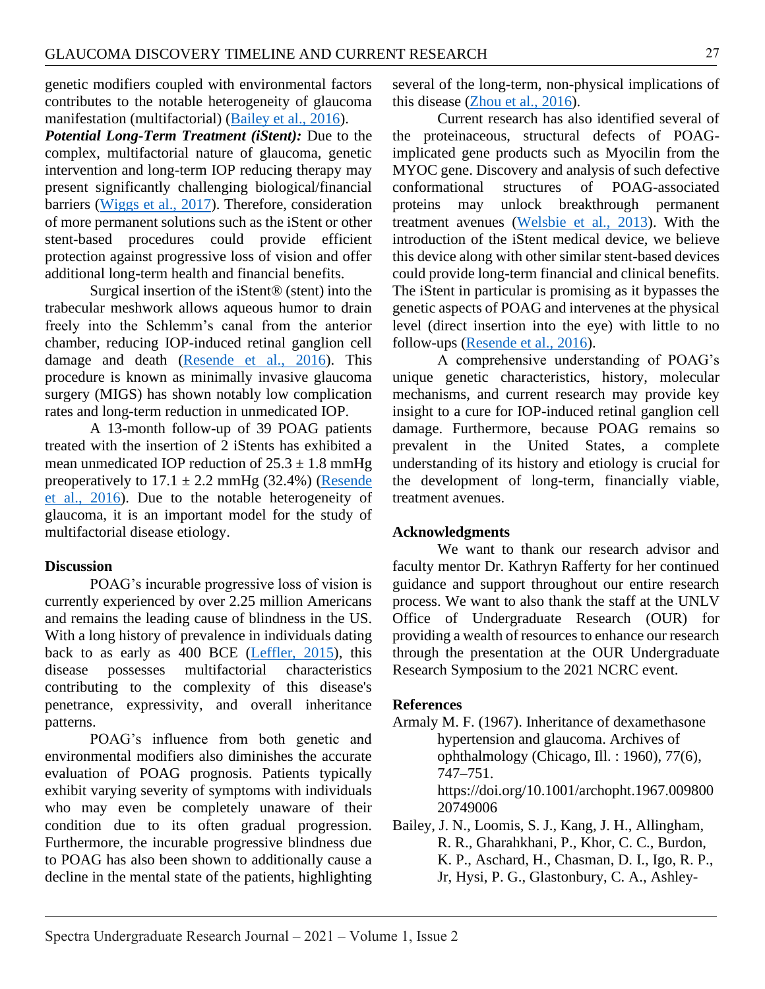genetic modifiers coupled with environmental factors contributes to the notable heterogeneity of glaucoma manifestation (multifactorial) [\(Bailey et al., 2016\)](#page-4-1).

*Potential Long-Term Treatment (iStent):* Due to the complex, multifactorial nature of glaucoma, genetic intervention and long-term IOP reducing therapy may present significantly challenging biological/financial barriers (Wiggs [et al., 2017\)](#page-6-2). Therefore, consideration of more permanent solutions such as the iStent or other stent-based procedures could provide efficient protection against progressive loss of vision and offer additional long-term health and financial benefits.

Surgical insertion of the iStent® (stent) into the trabecular meshwork allows aqueous humor to drain freely into the Schlemm's canal from the anterior chamber, reducing IOP-induced retinal ganglion cell damage and death [\(Resende et al., 2016\)](#page-5-8). This procedure is known as minimally invasive glaucoma surgery (MIGS) has shown notably low complication rates and long-term reduction in unmedicated IOP.

A 13-month follow-up of 39 POAG patients treated with the insertion of 2 iStents has exhibited a mean unmedicated IOP reduction of  $25.3 \pm 1.8$  mmHg preoperatively to  $17.1 \pm 2.2$  mmHg (32.4%) (Resende [et al., 2016\)](#page-5-8). Due to the notable heterogeneity of glaucoma, it is an important model for the study of multifactorial disease etiology.

#### **Discussion**

POAG's incurable progressive loss of vision is currently experienced by over 2.25 million Americans and remains the leading cause of blindness in the US. With a long history of prevalence in individuals dating back to as early as 400 BCE [\(Leffler, 2015\)](#page-5-2), this disease possesses multifactorial characteristics contributing to the complexity of this disease's penetrance, expressivity, and overall inheritance patterns.

POAG's influence from both genetic and environmental modifiers also diminishes the accurate evaluation of POAG prognosis. Patients typically exhibit varying severity of symptoms with individuals who may even be completely unaware of their condition due to its often gradual progression. Furthermore, the incurable progressive blindness due to POAG has also been shown to additionally cause a decline in the mental state of the patients, highlighting

several of the long-term, non-physical implications of this disease [\(Zhou et al., 2016\)](#page-6-3).

Current research has also identified several of the proteinaceous, structural defects of POAGimplicated gene products such as Myocilin from the MYOC gene. Discovery and analysis of such defective conformational structures of POAG-associated proteins may unlock breakthrough permanent treatment avenues [\(Welsbie et al., 2013\)](#page-6-1). With the introduction of the iStent medical device, we believe this device along with other similar stent-based devices could provide long-term financial and clinical benefits. The iStent in particular is promising as it bypasses the genetic aspects of POAG and intervenes at the physical level (direct insertion into the eye) with little to no follow-ups [\(Resende et al., 2016\)](#page-5-8).

A comprehensive understanding of POAG's unique genetic characteristics, history, molecular mechanisms, and current research may provide key insight to a cure for IOP-induced retinal ganglion cell damage. Furthermore, because POAG remains so prevalent in the United States, a complete understanding of its history and etiology is crucial for the development of long-term, financially viable, treatment avenues.

#### **Acknowledgments**

We want to thank our research advisor and faculty mentor Dr. Kathryn Rafferty for her continued guidance and support throughout our entire research process. We want to also thank the staff at the UNLV Office of Undergraduate Research (OUR) for providing a wealth of resources to enhance our research through the presentation at the OUR Undergraduate Research Symposium to the 2021 NCRC event.

#### **References**

<span id="page-4-0"></span>Armaly M. F. (1967). Inheritance of dexamethasone hypertension and glaucoma. Archives of ophthalmology (Chicago, Ill. : 1960), 77(6), 747–751. https://doi.org/10.1001/archopht.1967.009800 20749006

<span id="page-4-1"></span>Bailey, J. N., Loomis, S. J., Kang, J. H., Allingham, R. R., Gharahkhani, P., Khor, C. C., Burdon, K. P., Aschard, H., Chasman, D. I., Igo, R. P., Jr, Hysi, P. G., Glastonbury, C. A., Ashley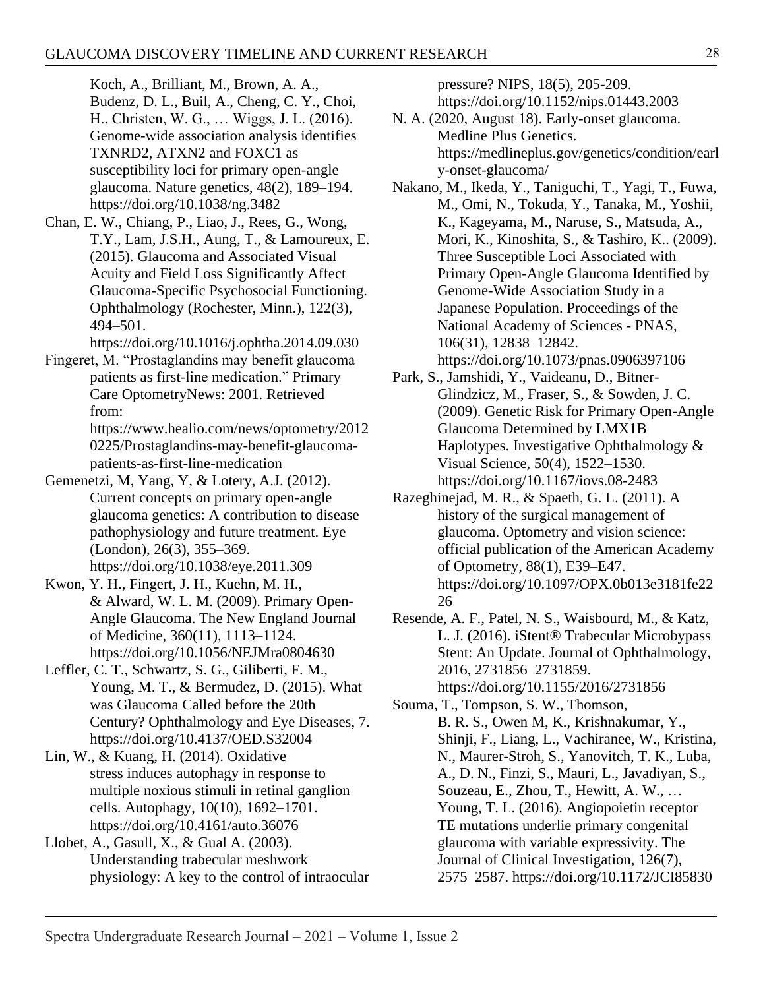Koch, A., Brilliant, M., Brown, A. A., Budenz, D. L., Buil, A., Cheng, C. Y., Choi, H., Christen, W. G., … Wiggs, J. L. (2016). Genome-wide association analysis identifies TXNRD2, ATXN2 and FOXC1 as susceptibility loci for primary open-angle glaucoma. Nature genetics, 48(2), 189–194. https://doi.org/10.1038/ng.3482

<span id="page-5-7"></span>Chan, E. W., Chiang, P., Liao, J., Rees, G., Wong, T.Y., Lam, J.S.H., Aung, T., & Lamoureux, E. (2015). Glaucoma and Associated Visual Acuity and Field Loss Significantly Affect Glaucoma-Specific Psychosocial Functioning. Ophthalmology (Rochester, Minn.), 122(3), 494–501.

https://doi.org/10.1016/j.ophtha.2014.09.030

<span id="page-5-4"></span>Fingeret, M. "Prostaglandins may benefit glaucoma patients as first-line medication." Primary Care OptometryNews: 2001. Retrieved from: https://www.healio.com/news/optometry/2012 0225/Prostaglandins-may-benefit-glaucoma-

<span id="page-5-1"></span>patients-as-first-line-medication Gemenetzi, M, Yang, Y, & Lotery, A.J. (2012). Current concepts on primary open-angle glaucoma genetics: A contribution to disease pathophysiology and future treatment. Eye (London), 26(3), 355–369. https://doi.org/10.1038/eye.2011.309

<span id="page-5-6"></span>Kwon, Y. H., Fingert, J. H., Kuehn, M. H., & Alward, W. L. M. (2009). Primary Open-Angle Glaucoma. The New England Journal of Medicine, 360(11), 1113–1124. https://doi.org/10.1056/NEJMra0804630

<span id="page-5-2"></span>Leffler, C. T., Schwartz, S. G., Giliberti, F. M., Young, M. T., & Bermudez, D. (2015). What was Glaucoma Called before the 20th Century? Ophthalmology and Eye Diseases, 7. https://doi.org/10.4137/OED.S32004

Lin, W., & Kuang, H. (2014). Oxidative stress induces autophagy in response to multiple noxious stimuli in retinal ganglion cells. Autophagy, 10(10), 1692–1701. https://doi.org/10.4161/auto.36076

<span id="page-5-0"></span>Llobet, A., Gasull, X., & Gual A. (2003). Understanding trabecular meshwork physiology: A key to the control of intraocular pressure? NIPS, 18(5), 205-209.

https://doi.org/10.1152/nips.01443.2003

- N. A. (2020, August 18). Early-onset glaucoma. Medline Plus Genetics. https://medlineplus.gov/genetics/condition/earl y-onset-glaucoma/
- <span id="page-5-5"></span>Nakano, M., Ikeda, Y., Taniguchi, T., Yagi, T., Fuwa, M., Omi, N., Tokuda, Y., Tanaka, M., Yoshii, K., Kageyama, M., Naruse, S., Matsuda, A., Mori, K., Kinoshita, S., & Tashiro, K.. (2009). Three Susceptible Loci Associated with Primary Open-Angle Glaucoma Identified by Genome-Wide Association Study in a Japanese Population. Proceedings of the National Academy of Sciences - PNAS, 106(31), 12838–12842. https://doi.org/10.1073/pnas.0906397106
- Park, S., Jamshidi, Y., Vaideanu, D., Bitner-Glindzicz, M., Fraser, S., & Sowden, J. C. (2009). Genetic Risk for Primary Open-Angle Glaucoma Determined by LMX1B Haplotypes. Investigative Ophthalmology & Visual Science, 50(4), 1522–1530. https://doi.org/10.1167/iovs.08-2483
- <span id="page-5-3"></span>Razeghinejad, M. R., & Spaeth, G. L. (2011). A history of the surgical management of glaucoma. Optometry and vision science: official publication of the American Academy of Optometry, 88(1), E39–E47. https://doi.org/10.1097/OPX.0b013e3181fe22 26
- <span id="page-5-8"></span>Resende, A. F., Patel, N. S., Waisbourd, M., & Katz, L. J. (2016). iStent® Trabecular Microbypass Stent: An Update. Journal of Ophthalmology, 2016, 2731856–2731859. https://doi.org/10.1155/2016/2731856

Souma, T., Tompson, S. W., Thomson, B. R. S., Owen M, K., Krishnakumar, Y., Shinji, F., Liang, L., Vachiranee, W., Kristina, N., Maurer-Stroh, S., Yanovitch, T. K., Luba, A., D. N., Finzi, S., Mauri, L., Javadiyan, S., Souzeau, E., Zhou, T., Hewitt, A. W., … Young, T. L. (2016). Angiopoietin receptor TE mutations underlie primary congenital glaucoma with variable expressivity. The Journal of Clinical Investigation, 126(7), 2575–2587. https://doi.org/10.1172/JCI85830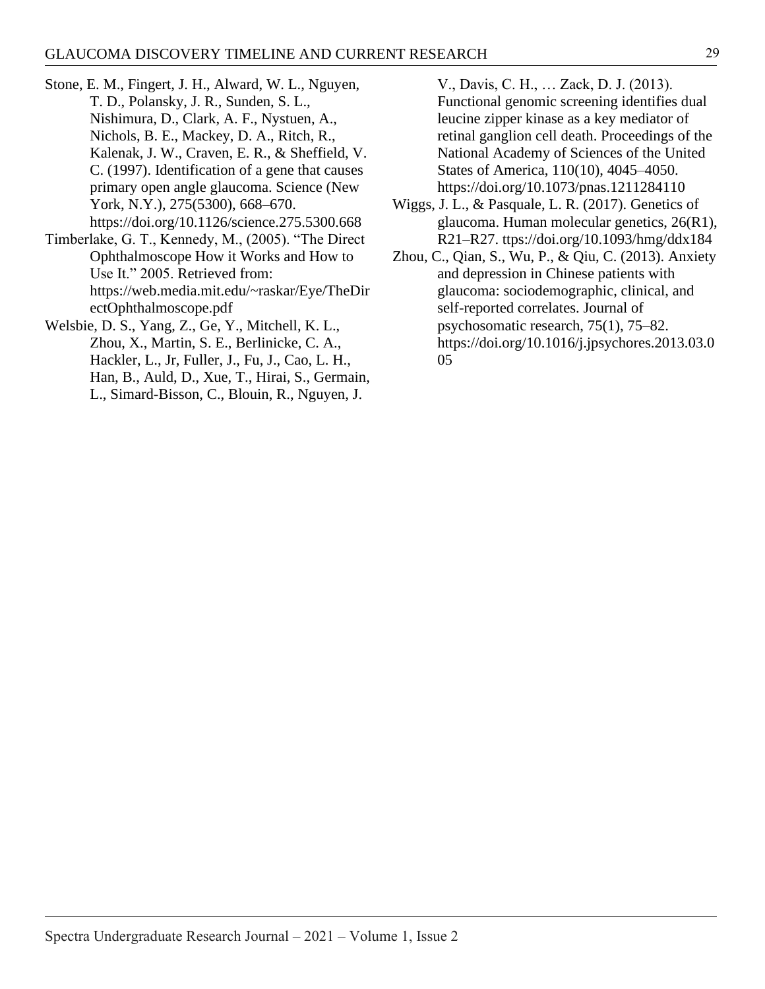- <span id="page-6-0"></span>Stone, E. M., Fingert, J. H., Alward, W. L., Nguyen, T. D., Polansky, J. R., Sunden, S. L., Nishimura, D., Clark, A. F., Nystuen, A., Nichols, B. E., Mackey, D. A., Ritch, R., Kalenak, J. W., Craven, E. R., & Sheffield, V. C. (1997). Identification of a gene that causes primary open angle glaucoma. Science (New York, N.Y.), 275(5300), 668–670. https://doi.org/10.1126/science.275.5300.668
- Timberlake, G. T., Kennedy, M., (2005). "The Direct Ophthalmoscope How it Works and How to Use It." 2005. Retrieved from: https://web.media.mit.edu/~raskar/Eye/TheDir ectOphthalmoscope.pdf
- <span id="page-6-1"></span>Welsbie, D. S., Yang, Z., Ge, Y., Mitchell, K. L., Zhou, X., Martin, S. E., Berlinicke, C. A., Hackler, L., Jr, Fuller, J., Fu, J., Cao, L. H., Han, B., Auld, D., Xue, T., Hirai, S., Germain, L., Simard-Bisson, C., Blouin, R., Nguyen, J.

V., Davis, C. H., … Zack, D. J. (2013). Functional genomic screening identifies dual leucine zipper kinase as a key mediator of retinal ganglion cell death. Proceedings of the National Academy of Sciences of the United States of America, 110(10), 4045–4050. https://doi.org/10.1073/pnas.1211284110

- <span id="page-6-2"></span>Wiggs, J. L., & Pasquale, L. R. (2017). Genetics of glaucoma. Human molecular genetics, 26(R1), R21–R27. ttps://doi.org/10.1093/hmg/ddx184
- <span id="page-6-3"></span>Zhou, C., Qian, S., Wu, P., & Qiu, C. (2013). Anxiety and depression in Chinese patients with glaucoma: sociodemographic, clinical, and self-reported correlates. Journal of psychosomatic research, 75(1), 75–82. https://doi.org/10.1016/j.jpsychores.2013.03.0 05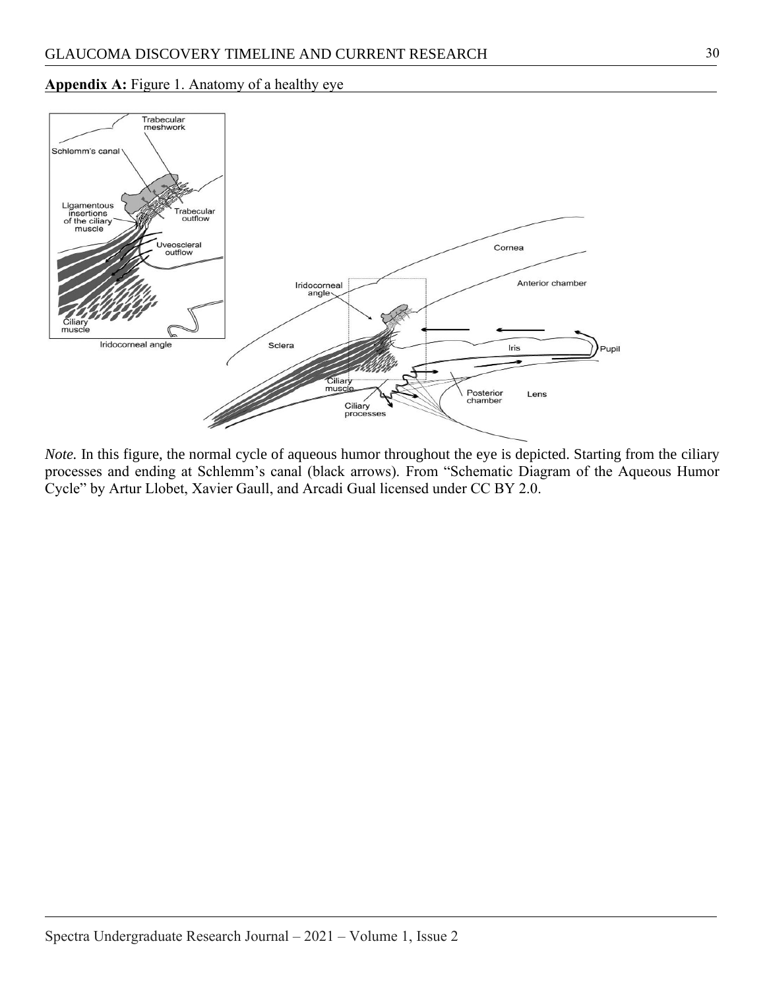#### **Appendix A:** Figure 1. Anatomy of a healthy eye



*Note*. In this figure, the normal cycle of aqueous humor throughout the eye is depicted. Starting from the ciliary processes and ending at Schlemm's canal (black arrows). From "Schematic Diagram of the Aqueous Humor Cycle" by Artur Llobet, Xavier Gaull, and Arcadi Gual licensed under CC BY 2.0.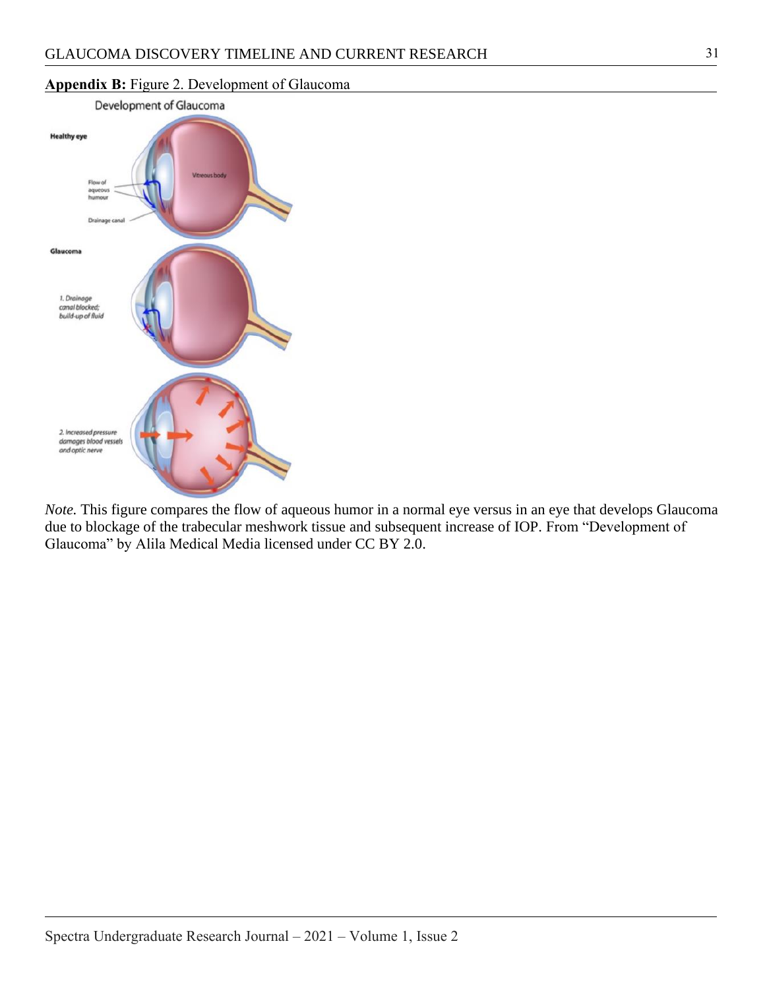

## **Appendix B:** Figure 2. Development of Glaucoma

*Note.* This figure compares the flow of aqueous humor in a normal eye versus in an eye that develops Glaucoma due to blockage of the trabecular meshwork tissue and subsequent increase of IOP. From "Development of Glaucoma" by Alila Medical Media licensed under CC BY 2.0.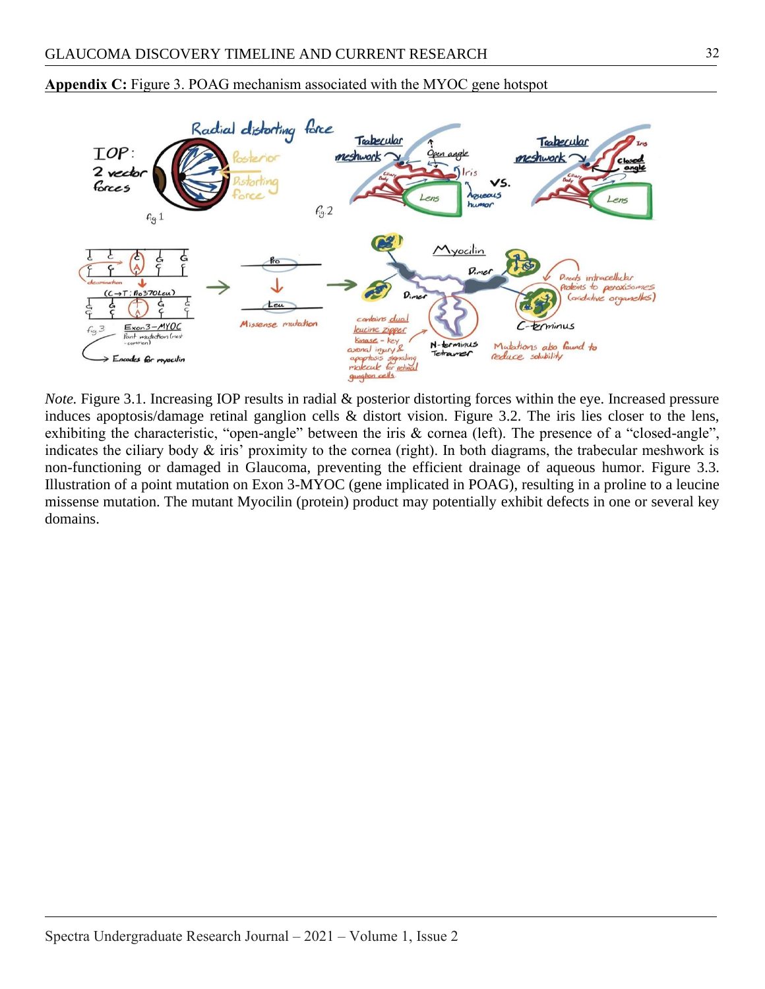

**Appendix C:** Figure 3. POAG mechanism associated with the MYOC gene hotspot

*Note.* Figure 3.1. Increasing IOP results in radial & posterior distorting forces within the eye. Increased pressure induces apoptosis/damage retinal ganglion cells & distort vision. Figure 3.2. The iris lies closer to the lens, exhibiting the characteristic, "open-angle" between the iris & cornea (left). The presence of a "closed-angle", indicates the ciliary body  $\&$  iris' proximity to the cornea (right). In both diagrams, the trabecular meshwork is non-functioning or damaged in Glaucoma, preventing the efficient drainage of aqueous humor. Figure 3.3. Illustration of a point mutation on Exon 3-MYOC (gene implicated in POAG), resulting in a proline to a leucine missense mutation. The mutant Myocilin (protein) product may potentially exhibit defects in one or several key domains.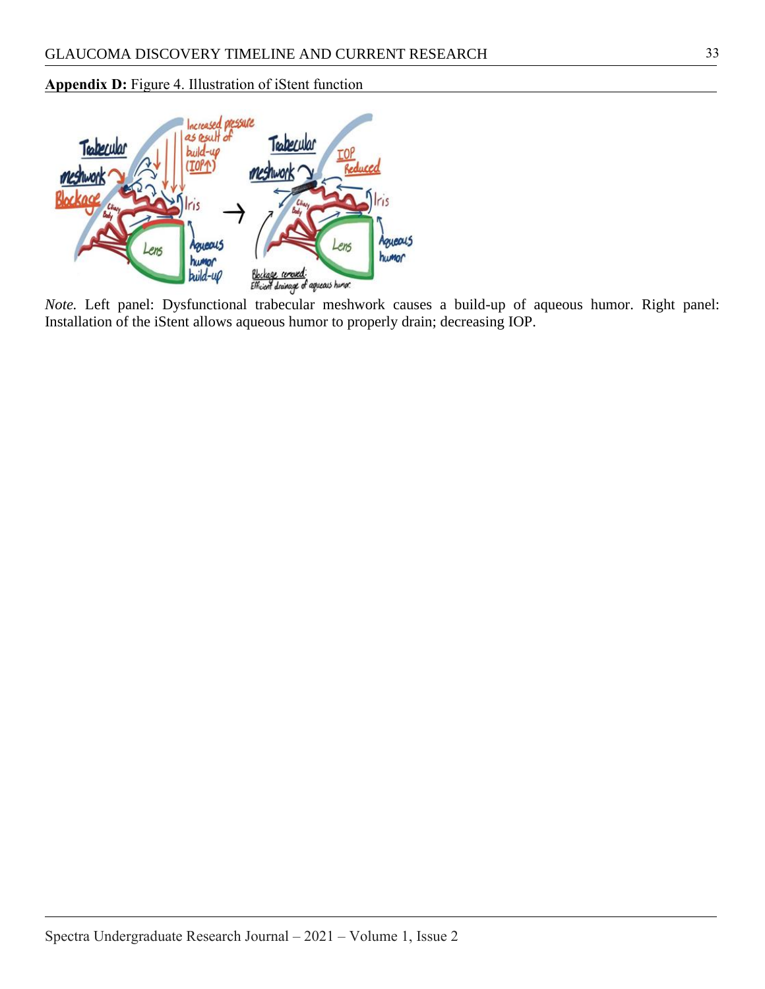## **Appendix D:** Figure 4. Illustration of iStent function



*Note.* Left panel: Dysfunctional trabecular meshwork causes a build-up of aqueous humor. Right panel:<br>*Note*. Left panel: Dysfunctional trabecular meshwork causes a build-up of aqueous humor. Right panel: Installation of the iStent allows aqueous humor to properly drain; decreasing IOP.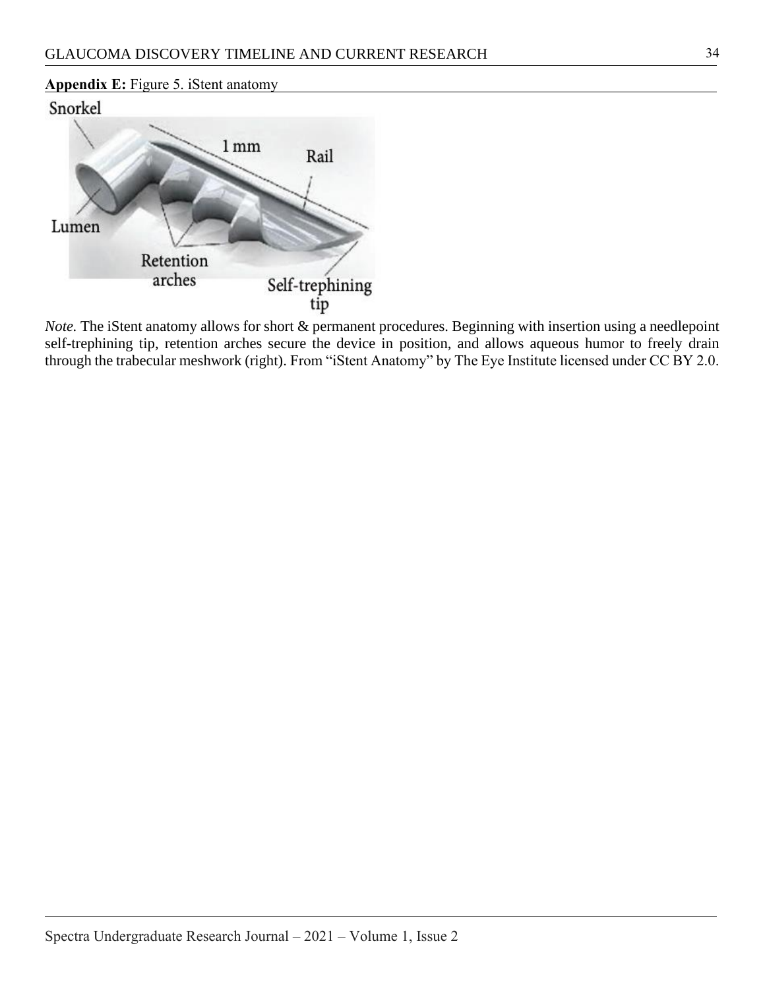# **Appendix E:** Figure 5. iStent anatomy





*Note*. The iStent anatomy allows for short & permanent procedures. Beginning with insertion using a needlepoint self-trephining tip, retention arches secure the device in position, and allows aqueous humor to freely drain through the trabecular meshwork (right). From "iStent Anatomy" by The Eye Institute licensed under CC BY 2.0.

34